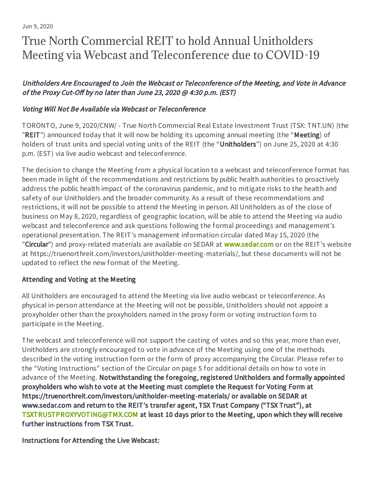# True North Commercial REIT to hold Annual Unitholders Meeting via Webcast and Teleconference due to COVID-19

## Unitholders Are Encouraged to Join the Webcast or Teleconference of the Meeting, and Vote in Advance of the Proxy Cut-Off by no later than June 23, 2020 @ 4:30 p.m. (EST)

### Voting Will Not Be Available via Webcast or Teleconference

TORONTO, June 9, 2020/CNW/ - True North Commercial Real Estate Investment Trust (TSX: TNT.UN) (the "REIT") announced today that it will now be holding its upcoming annual meeting (the "Meeting) of holders of trust units and special voting units of the REIT (the "Unitholders") on June 25, 2020 at 4:30 p.m. (EST) via live audio webcast and teleconference.

The decision to change the Meeting from a physical location to a webcast and teleconference format has been made in light of the recommendations and restrictions by public health authorities to proactively address the public health impact of the coronavirus pandemic, and to mitigate risks to the health and safety of our Unitholders and the broader community. As a result of these recommendations and restrictions, it will not be possible to attend the Meeting in person. All Unitholders as of the close of business on May 8, 2020, regardless of geographic location, will be able to attend the Meeting via audio webcast and teleconference and ask questions following the formal proceedings and management's operational presentation. The REIT's management information circular dated May 15, 2020 (the "Circular") and proxy-related materials are available on SEDAR at [www.sedar.com](http://www.sedar.com/) or on the REIT's website at https://truenorthreit.com/investors/unitholder-meeting-materials/, but these documents will not be updated to reflect the new format of the Meeting.

#### Attending and Voting at the Meeting

All Unitholders are encouraged to attend the Meeting via live audio webcast or teleconference. As physical in-person attendance at the Meeting will not be possible, Unitholders should not appoint a proxyholder other than the proxyholders named in the proxy form or voting instruction form to participate in the Meeting.

The webcast and teleconference will not support the casting of votes and so this year, more than ever, Unitholders are strongly encouraged to vote in advance of the Meeting using one of the methods described in the voting instruction form or the form of proxy accompanying the Circular. Please refer to the "Voting Instructions" section of the Circular on page 5 for additional details on how to vote in advance of the Meeting. Notwithstanding the foregoing, registered Unitholders and formally appointed proxyholders who wish to vote at the Meeting must complete the Request for Voting Form at https://truenorthreit.com/investors/unitholder-meeting-materials/ or available on SEDAR at www.sedar.com and return to the REIT's transfer agent, TSX Trust Company ("TSX Trust"), at [TSXTRUSTPROXYVOTING@TMX.COM](mailto:TSXTRUSTPROXYVOTING@TMX.COM) at least 10 days prior to the Meeting, upon which they will receive further instructions from TSX Trust.

Instructions for Attending the Live Webcast: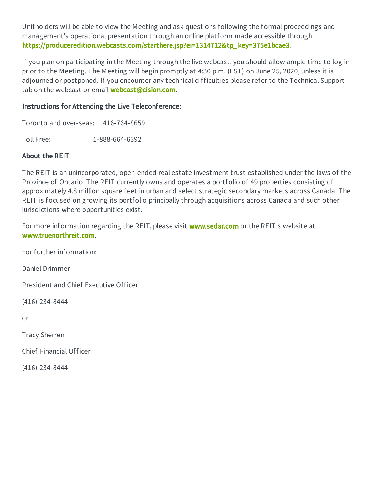Unitholders will be able to view the Meeting and ask questions following the formal proceedings and management's operational presentation through an online platform made accessible through [https://produceredition.webcasts.com/starthere.jsp?ei=1314712&tp\\_key=375e1bcae3.](https://produceredition.webcasts.com/starthere.jsp?ei=1314712&tp_key=375e1bcae3)

If you plan on participating in the Meeting through the live webcast, you should allow ample time to log in prior to the Meeting. The Meeting will begin promptly at 4:30 p.m. (EST) on June 25, 2020, unless it is adjourned or postponed. If you encounter any technical difficulties please refer to the Technical Support tab on the webcast or email **[webcast@cision.com](mailto:webcast@cision.com)**.

#### Instructions for Attending the Live Teleconference:

Toronto and over-seas: 416-764-8659

Toll Free: 1-888-664-6392

#### About the REIT

The REIT is an unincorporated, open-ended real estate investment trust established under the laws of the Province of Ontario. The REIT currently owns and operates a portfolio of 49 properties consisting of approximately 4.8 million square feet in urban and select strategic secondary markets across Canada. The REIT is focused on growing its portfolio principally through acquisitions across Canada and such other jurisdictions where opportunities exist.

For more information regarding the REIT, please visit **[www.sedar.com](http://www.sedar.com/)** or the REIT's website at [www.truenorthreit.com](http://www.truenorthreit.com/).

For further information:

Daniel Drimmer

President and Chief Executive Officer

(416) 234-8444

or

Tracy Sherren

Chief Financial Officer

(416) 234-8444